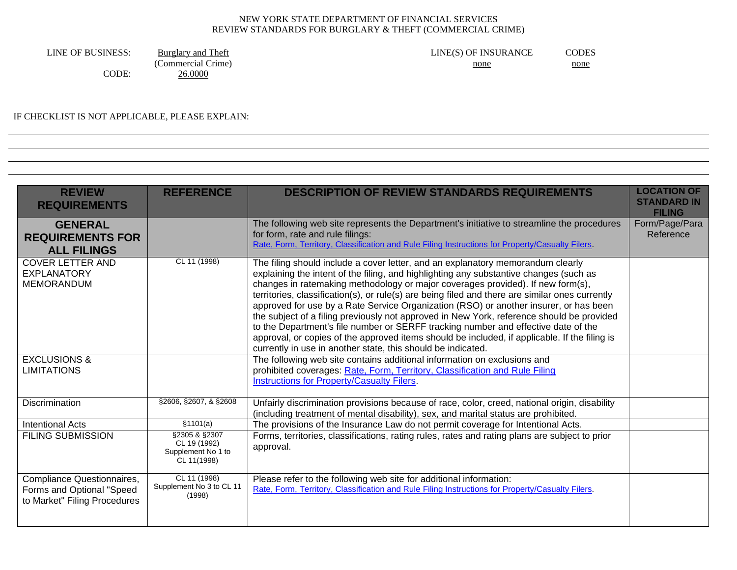CODE: 26.0000

LINE OF BUSINESS: Burglary and Theft LINE(S) OF INSURANCE CODES  $(Commercial \overline{Crime})$  none none

IF CHECKLIST IS NOT APPLICABLE, PLEASE EXPLAIN:

| <b>REVIEW</b><br><b>REQUIREMENTS</b>                                                    | <b>REFERENCE</b>                                                   | <b>DESCRIPTION OF REVIEW STANDARDS REQUIREMENTS</b>                                                                                                                                                                                                                                                                                                                                                                                                                                                                                                                                                                                                                                                                                                                                                          | <b>LOCATION OF</b><br><b>STANDARD IN</b><br><b>FILING</b> |
|-----------------------------------------------------------------------------------------|--------------------------------------------------------------------|--------------------------------------------------------------------------------------------------------------------------------------------------------------------------------------------------------------------------------------------------------------------------------------------------------------------------------------------------------------------------------------------------------------------------------------------------------------------------------------------------------------------------------------------------------------------------------------------------------------------------------------------------------------------------------------------------------------------------------------------------------------------------------------------------------------|-----------------------------------------------------------|
| <b>GENERAL</b><br><b>REQUIREMENTS FOR</b><br><b>ALL FILINGS</b>                         |                                                                    | The following web site represents the Department's initiative to streamline the procedures<br>for form, rate and rule filings:<br>Rate, Form, Territory, Classification and Rule Filing Instructions for Property/Casualty Filers.                                                                                                                                                                                                                                                                                                                                                                                                                                                                                                                                                                           | Form/Page/Para<br>Reference                               |
| <b>COVER LETTER AND</b><br><b>EXPLANATORY</b><br><b>MEMORANDUM</b>                      | CL 11 (1998)                                                       | The filing should include a cover letter, and an explanatory memorandum clearly<br>explaining the intent of the filing, and highlighting any substantive changes (such as<br>changes in ratemaking methodology or major coverages provided). If new form(s),<br>territories, classification(s), or rule(s) are being filed and there are similar ones currently<br>approved for use by a Rate Service Organization (RSO) or another insurer, or has been<br>the subject of a filing previously not approved in New York, reference should be provided<br>to the Department's file number or SERFF tracking number and effective date of the<br>approval, or copies of the approved items should be included, if applicable. If the filing is<br>currently in use in another state, this should be indicated. |                                                           |
| <b>EXCLUSIONS &amp;</b><br><b>LIMITATIONS</b>                                           |                                                                    | The following web site contains additional information on exclusions and<br>prohibited coverages: Rate, Form, Territory, Classification and Rule Filing<br>Instructions for Property/Casualty Filers.                                                                                                                                                                                                                                                                                                                                                                                                                                                                                                                                                                                                        |                                                           |
| <b>Discrimination</b>                                                                   | §2606, §2607, & §2608                                              | Unfairly discrimination provisions because of race, color, creed, national origin, disability<br>(including treatment of mental disability), sex, and marital status are prohibited.                                                                                                                                                                                                                                                                                                                                                                                                                                                                                                                                                                                                                         |                                                           |
| <b>Intentional Acts</b>                                                                 | \$1101(a)                                                          | The provisions of the Insurance Law do not permit coverage for Intentional Acts.                                                                                                                                                                                                                                                                                                                                                                                                                                                                                                                                                                                                                                                                                                                             |                                                           |
| <b>FILING SUBMISSION</b>                                                                | §2305 & §2307<br>CL 19 (1992)<br>Supplement No 1 to<br>CL 11(1998) | Forms, territories, classifications, rating rules, rates and rating plans are subject to prior<br>approval.                                                                                                                                                                                                                                                                                                                                                                                                                                                                                                                                                                                                                                                                                                  |                                                           |
| Compliance Questionnaires,<br>Forms and Optional "Speed<br>to Market" Filing Procedures | CL 11 (1998)<br>Supplement No 3 to CL 11<br>(1998)                 | Please refer to the following web site for additional information:<br>Rate, Form, Territory, Classification and Rule Filing Instructions for Property/Casualty Filers.                                                                                                                                                                                                                                                                                                                                                                                                                                                                                                                                                                                                                                       |                                                           |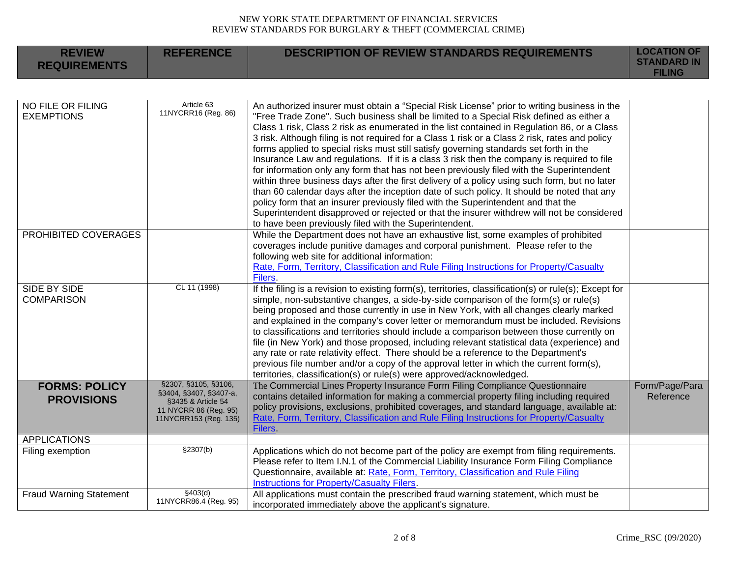| <b>REVIEW</b><br><b>REQUIREMENTS</b>      | <b>REFERENCE</b>                                                                                                       | <b>DESCRIPTION OF REVIEW STANDARDS REQUIREMENTS</b>                                                                                                                                                                                                                                                                                                                                                                                                                                                                                                                                                                                                                                                                                                                                                                                                                                                                                                                                                                                                                                                                      | <b>LOCATION OF</b><br><b>STANDARD IN</b><br><b>FILING</b> |
|-------------------------------------------|------------------------------------------------------------------------------------------------------------------------|--------------------------------------------------------------------------------------------------------------------------------------------------------------------------------------------------------------------------------------------------------------------------------------------------------------------------------------------------------------------------------------------------------------------------------------------------------------------------------------------------------------------------------------------------------------------------------------------------------------------------------------------------------------------------------------------------------------------------------------------------------------------------------------------------------------------------------------------------------------------------------------------------------------------------------------------------------------------------------------------------------------------------------------------------------------------------------------------------------------------------|-----------------------------------------------------------|
|                                           |                                                                                                                        |                                                                                                                                                                                                                                                                                                                                                                                                                                                                                                                                                                                                                                                                                                                                                                                                                                                                                                                                                                                                                                                                                                                          |                                                           |
| NO FILE OR FILING<br><b>EXEMPTIONS</b>    | Article 63<br>11NYCRR16 (Reg. 86)                                                                                      | An authorized insurer must obtain a "Special Risk License" prior to writing business in the<br>"Free Trade Zone". Such business shall be limited to a Special Risk defined as either a<br>Class 1 risk, Class 2 risk as enumerated in the list contained in Regulation 86, or a Class<br>3 risk. Although filing is not required for a Class 1 risk or a Class 2 risk, rates and policy<br>forms applied to special risks must still satisfy governing standards set forth in the<br>Insurance Law and regulations. If it is a class 3 risk then the company is required to file<br>for information only any form that has not been previously filed with the Superintendent<br>within three business days after the first delivery of a policy using such form, but no later<br>than 60 calendar days after the inception date of such policy. It should be noted that any<br>policy form that an insurer previously filed with the Superintendent and that the<br>Superintendent disapproved or rejected or that the insurer withdrew will not be considered<br>to have been previously filed with the Superintendent. |                                                           |
| PROHIBITED COVERAGES                      |                                                                                                                        | While the Department does not have an exhaustive list, some examples of prohibited<br>coverages include punitive damages and corporal punishment. Please refer to the<br>following web site for additional information:<br>Rate, Form, Territory, Classification and Rule Filing Instructions for Property/Casualty<br>Filers.                                                                                                                                                                                                                                                                                                                                                                                                                                                                                                                                                                                                                                                                                                                                                                                           |                                                           |
| SIDE BY SIDE<br><b>COMPARISON</b>         | CL 11 (1998)                                                                                                           | If the filing is a revision to existing form(s), territories, classification(s) or rule(s); Except for<br>simple, non-substantive changes, a side-by-side comparison of the form(s) or rule(s)<br>being proposed and those currently in use in New York, with all changes clearly marked<br>and explained in the company's cover letter or memorandum must be included. Revisions<br>to classifications and territories should include a comparison between those currently on<br>file (in New York) and those proposed, including relevant statistical data (experience) and<br>any rate or rate relativity effect. There should be a reference to the Department's<br>previous file number and/or a copy of the approval letter in which the current form(s),<br>territories, classification(s) or rule(s) were approved/acknowledged.                                                                                                                                                                                                                                                                                 |                                                           |
| <b>FORMS: POLICY</b><br><b>PROVISIONS</b> | §2307, §3105, §3106,<br>§3404, §3407, §3407-a,<br>§3435 & Article 54<br>11 NYCRR 86 (Reg. 95)<br>11NYCRR153 (Reg. 135) | The Commercial Lines Property Insurance Form Filing Compliance Questionnaire<br>contains detailed information for making a commercial property filing including required<br>policy provisions, exclusions, prohibited coverages, and standard language, available at:<br>Rate, Form, Territory, Classification and Rule Filing Instructions for Property/Casualty<br><b>Filers</b>                                                                                                                                                                                                                                                                                                                                                                                                                                                                                                                                                                                                                                                                                                                                       | Form/Page/Para<br>Reference                               |
| <b>APPLICATIONS</b>                       |                                                                                                                        |                                                                                                                                                                                                                                                                                                                                                                                                                                                                                                                                                                                                                                                                                                                                                                                                                                                                                                                                                                                                                                                                                                                          |                                                           |
| Filing exemption                          | \$2307(b)                                                                                                              | Applications which do not become part of the policy are exempt from filing requirements.<br>Please refer to Item I.N.1 of the Commercial Liability Insurance Form Filing Compliance<br>Questionnaire, available at: Rate, Form, Territory, Classification and Rule Filing<br>Instructions for Property/Casualty Filers.                                                                                                                                                                                                                                                                                                                                                                                                                                                                                                                                                                                                                                                                                                                                                                                                  |                                                           |
| <b>Fraud Warning Statement</b>            | §403(d)<br>11NYCRR86.4 (Reg. 95)                                                                                       | All applications must contain the prescribed fraud warning statement, which must be<br>incorporated immediately above the applicant's signature.                                                                                                                                                                                                                                                                                                                                                                                                                                                                                                                                                                                                                                                                                                                                                                                                                                                                                                                                                                         |                                                           |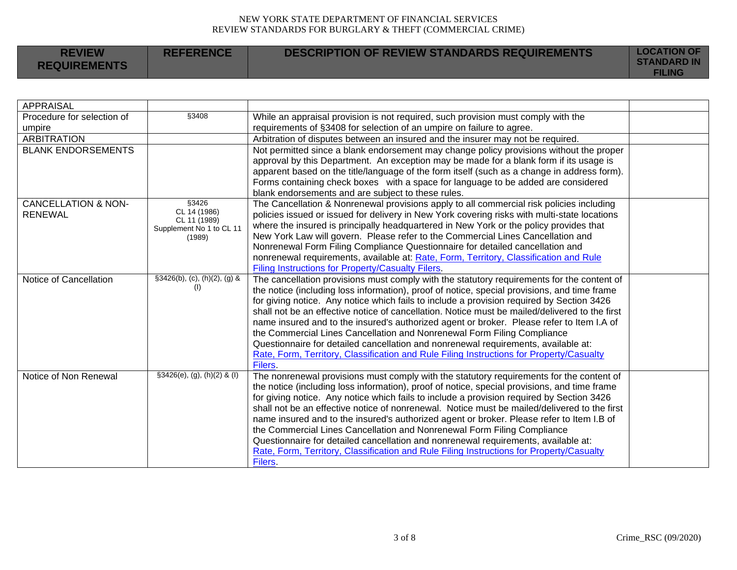|  | <b>REVIEW</b><br><b>REFERENCE</b><br><b>REQUIREMENTS</b> | DESCRIPTION OF REVIEW STANDARDS REQUIREMENTS | <b>LOCATION OF</b><br><b>STANDARD IN</b><br><b>FILING</b> |
|--|----------------------------------------------------------|----------------------------------------------|-----------------------------------------------------------|
|--|----------------------------------------------------------|----------------------------------------------|-----------------------------------------------------------|

| <b>APPRAISAL</b>               |                                       |                                                                                                |  |
|--------------------------------|---------------------------------------|------------------------------------------------------------------------------------------------|--|
| Procedure for selection of     | §3408                                 | While an appraisal provision is not required, such provision must comply with the              |  |
| umpire                         |                                       | requirements of §3408 for selection of an umpire on failure to agree.                          |  |
| <b>ARBITRATION</b>             |                                       | Arbitration of disputes between an insured and the insurer may not be required.                |  |
| <b>BLANK ENDORSEMENTS</b>      |                                       | Not permitted since a blank endorsement may change policy provisions without the proper        |  |
|                                |                                       | approval by this Department. An exception may be made for a blank form if its usage is         |  |
|                                |                                       | apparent based on the title/language of the form itself (such as a change in address form).    |  |
|                                |                                       | Forms containing check boxes with a space for language to be added are considered              |  |
|                                |                                       | blank endorsements and are subject to these rules.                                             |  |
| <b>CANCELLATION &amp; NON-</b> | §3426                                 | The Cancellation & Nonrenewal provisions apply to all commercial risk policies including       |  |
| <b>RENEWAL</b>                 | CL 14 (1986)<br>CL 11 (1989)          | policies issued or issued for delivery in New York covering risks with multi-state locations   |  |
|                                | Supplement No 1 to CL 11              | where the insured is principally headquartered in New York or the policy provides that         |  |
|                                | (1989)                                | New York Law will govern. Please refer to the Commercial Lines Cancellation and                |  |
|                                |                                       | Nonrenewal Form Filing Compliance Questionnaire for detailed cancellation and                  |  |
|                                |                                       | nonrenewal requirements, available at: Rate, Form, Territory, Classification and Rule          |  |
|                                |                                       | Filing Instructions for Property/Casualty Filers.                                              |  |
| Notice of Cancellation         | $\S3426(b)$ , (c), (h)(2), (g) &      | The cancellation provisions must comply with the statutory requirements for the content of     |  |
|                                | (1)                                   | the notice (including loss information), proof of notice, special provisions, and time frame   |  |
|                                |                                       | for giving notice. Any notice which fails to include a provision required by Section 3426      |  |
|                                |                                       | shall not be an effective notice of cancellation. Notice must be mailed/delivered to the first |  |
|                                |                                       | name insured and to the insured's authorized agent or broker. Please refer to Item I.A of      |  |
|                                |                                       | the Commercial Lines Cancellation and Nonrenewal Form Filing Compliance                        |  |
|                                |                                       | Questionnaire for detailed cancellation and nonrenewal requirements, available at:             |  |
|                                |                                       | Rate, Form, Territory, Classification and Rule Filing Instructions for Property/Casualty       |  |
|                                |                                       | Filers                                                                                         |  |
| Notice of Non Renewal          | $\text{\$3426(e), (g), (h)(2) & (l)}$ | The nonrenewal provisions must comply with the statutory requirements for the content of       |  |
|                                |                                       | the notice (including loss information), proof of notice, special provisions, and time frame   |  |
|                                |                                       | for giving notice. Any notice which fails to include a provision required by Section 3426      |  |
|                                |                                       | shall not be an effective notice of nonrenewal. Notice must be mailed/delivered to the first   |  |
|                                |                                       | name insured and to the insured's authorized agent or broker. Please refer to Item I.B of      |  |
|                                |                                       | the Commercial Lines Cancellation and Nonrenewal Form Filing Compliance                        |  |
|                                |                                       | Questionnaire for detailed cancellation and nonrenewal requirements, available at:             |  |
|                                |                                       | Rate, Form, Territory, Classification and Rule Filing Instructions for Property/Casualty       |  |
|                                |                                       | Filers.                                                                                        |  |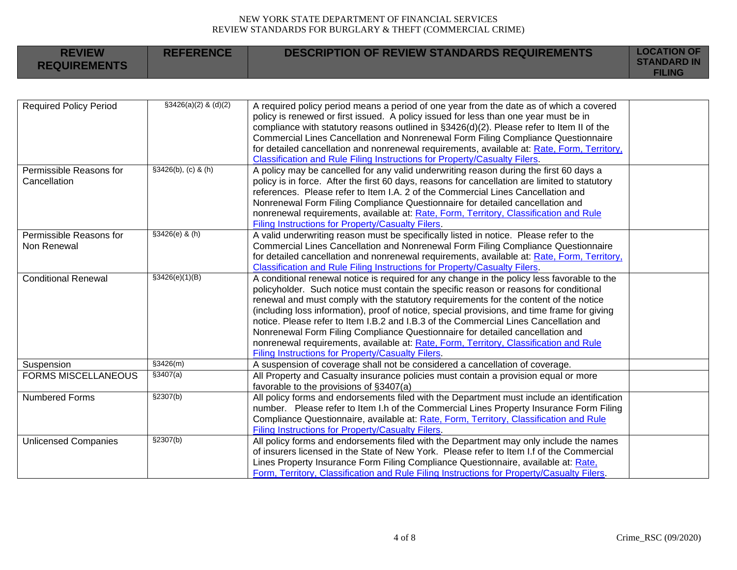| <b>REVIEW</b><br><b>REQUIREMENTS</b>    | <b>REFERENCE</b>       | <b>DESCRIPTION OF REVIEW STANDARDS REQUIREMENTS</b>                                                                                                                                                                                                                                                                                                                                                                                                                                                                                                                                                                                                                                                   | <b>LOCATION OF</b><br><b>STANDARD IN</b><br><b>FILING</b> |
|-----------------------------------------|------------------------|-------------------------------------------------------------------------------------------------------------------------------------------------------------------------------------------------------------------------------------------------------------------------------------------------------------------------------------------------------------------------------------------------------------------------------------------------------------------------------------------------------------------------------------------------------------------------------------------------------------------------------------------------------------------------------------------------------|-----------------------------------------------------------|
|                                         |                        |                                                                                                                                                                                                                                                                                                                                                                                                                                                                                                                                                                                                                                                                                                       |                                                           |
| <b>Required Policy Period</b>           | $$3426(a)(2)$ & (d)(2) | A required policy period means a period of one year from the date as of which a covered<br>policy is renewed or first issued. A policy issued for less than one year must be in<br>compliance with statutory reasons outlined in §3426(d)(2). Please refer to Item II of the<br>Commercial Lines Cancellation and Nonrenewal Form Filing Compliance Questionnaire<br>for detailed cancellation and nonrenewal requirements, available at: Rate, Form, Territory,<br>Classification and Rule Filing Instructions for Property/Casualty Filers.                                                                                                                                                         |                                                           |
| Permissible Reasons for<br>Cancellation | $$3426(b), (c)$ & (h)  | A policy may be cancelled for any valid underwriting reason during the first 60 days a<br>policy is in force. After the first 60 days, reasons for cancellation are limited to statutory<br>references. Please refer to Item I.A. 2 of the Commercial Lines Cancellation and<br>Nonrenewal Form Filing Compliance Questionnaire for detailed cancellation and<br>nonrenewal requirements, available at: Rate, Form, Territory, Classification and Rule<br><b>Filing Instructions for Property/Casualty Filers.</b>                                                                                                                                                                                    |                                                           |
| Permissible Reasons for<br>Non Renewal  | $$3426(e)$ & (h)       | A valid underwriting reason must be specifically listed in notice. Please refer to the<br>Commercial Lines Cancellation and Nonrenewal Form Filing Compliance Questionnaire<br>for detailed cancellation and nonrenewal requirements, available at: Rate, Form, Territory,<br>Classification and Rule Filing Instructions for Property/Casualty Filers.                                                                                                                                                                                                                                                                                                                                               |                                                           |
| <b>Conditional Renewal</b>              | \$3426(e)(1)(B)        | A conditional renewal notice is required for any change in the policy less favorable to the<br>policyholder. Such notice must contain the specific reason or reasons for conditional<br>renewal and must comply with the statutory requirements for the content of the notice<br>(including loss information), proof of notice, special provisions, and time frame for giving<br>notice. Please refer to Item I.B.2 and I.B.3 of the Commercial Lines Cancellation and<br>Nonrenewal Form Filing Compliance Questionnaire for detailed cancellation and<br>nonrenewal requirements, available at: Rate, Form, Territory, Classification and Rule<br>Filing Instructions for Property/Casualty Filers. |                                                           |
| Suspension                              | \$3426(m)              | A suspension of coverage shall not be considered a cancellation of coverage.                                                                                                                                                                                                                                                                                                                                                                                                                                                                                                                                                                                                                          |                                                           |
| <b>FORMS MISCELLANEOUS</b>              | \$3407(a)              | All Property and Casualty insurance policies must contain a provision equal or more<br>favorable to the provisions of §3407(a)                                                                                                                                                                                                                                                                                                                                                                                                                                                                                                                                                                        |                                                           |
| <b>Numbered Forms</b>                   | \$2307(b)              | All policy forms and endorsements filed with the Department must include an identification<br>number. Please refer to Item I.h of the Commercial Lines Property Insurance Form Filing<br>Compliance Questionnaire, available at: Rate, Form, Territory, Classification and Rule<br><b>Filing Instructions for Property/Casualty Filers.</b>                                                                                                                                                                                                                                                                                                                                                           |                                                           |
| <b>Unlicensed Companies</b>             | \$2307(b)              | All policy forms and endorsements filed with the Department may only include the names<br>of insurers licensed in the State of New York. Please refer to Item I f of the Commercial<br>Lines Property Insurance Form Filing Compliance Questionnaire, available at: Rate,<br>Form, Territory, Classification and Rule Filing Instructions for Property/Casualty Filers.                                                                                                                                                                                                                                                                                                                               |                                                           |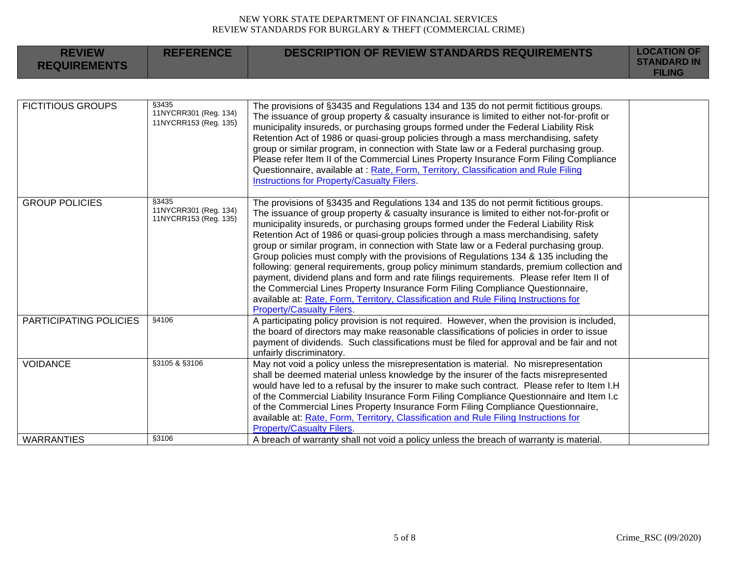| <b>REVIEW</b><br><b>REQUIREMENTS</b> | <b>REFERENCE</b>                                        | <b>DESCRIPTION OF REVIEW STANDARDS REQUIREMENTS</b>                                                                                                                                                                                                                                                                                                                                                                                                                                                                                                                                                                                                                                                                                                                                                                                                                                                                                                  | <b>LOCATION OF</b><br><b>STANDARD IN</b><br><b>FILING</b> |
|--------------------------------------|---------------------------------------------------------|------------------------------------------------------------------------------------------------------------------------------------------------------------------------------------------------------------------------------------------------------------------------------------------------------------------------------------------------------------------------------------------------------------------------------------------------------------------------------------------------------------------------------------------------------------------------------------------------------------------------------------------------------------------------------------------------------------------------------------------------------------------------------------------------------------------------------------------------------------------------------------------------------------------------------------------------------|-----------------------------------------------------------|
|                                      |                                                         |                                                                                                                                                                                                                                                                                                                                                                                                                                                                                                                                                                                                                                                                                                                                                                                                                                                                                                                                                      |                                                           |
| <b>FICTITIOUS GROUPS</b>             | §3435<br>11NYCRR301 (Reg. 134)<br>11NYCRR153 (Reg. 135) | The provisions of §3435 and Regulations 134 and 135 do not permit fictitious groups.<br>The issuance of group property & casualty insurance is limited to either not-for-profit or<br>municipality insureds, or purchasing groups formed under the Federal Liability Risk<br>Retention Act of 1986 or quasi-group policies through a mass merchandising, safety<br>group or similar program, in connection with State law or a Federal purchasing group.<br>Please refer Item II of the Commercial Lines Property Insurance Form Filing Compliance<br>Questionnaire, available at : Rate, Form, Territory, Classification and Rule Filing<br>Instructions for Property/Casualty Filers.                                                                                                                                                                                                                                                              |                                                           |
| <b>GROUP POLICIES</b>                | §3435<br>11NYCRR301 (Reg. 134)<br>11NYCRR153 (Reg. 135) | The provisions of §3435 and Regulations 134 and 135 do not permit fictitious groups.<br>The issuance of group property & casualty insurance is limited to either not-for-profit or<br>municipality insureds, or purchasing groups formed under the Federal Liability Risk<br>Retention Act of 1986 or quasi-group policies through a mass merchandising, safety<br>group or similar program, in connection with State law or a Federal purchasing group.<br>Group policies must comply with the provisions of Regulations 134 & 135 including the<br>following: general requirements, group policy minimum standards, premium collection and<br>payment, dividend plans and form and rate filings requirements. Please refer Item II of<br>the Commercial Lines Property Insurance Form Filing Compliance Questionnaire,<br>available at: Rate, Form, Territory, Classification and Rule Filing Instructions for<br><b>Property/Casualty Filers.</b> |                                                           |
| <b>PARTICIPATING POLICIES</b>        | §4106                                                   | A participating policy provision is not required. However, when the provision is included,<br>the board of directors may make reasonable classifications of policies in order to issue<br>payment of dividends. Such classifications must be filed for approval and be fair and not<br>unfairly discriminatory.                                                                                                                                                                                                                                                                                                                                                                                                                                                                                                                                                                                                                                      |                                                           |
| <b>VOIDANCE</b>                      | §3105 & §3106<br>§3106                                  | May not void a policy unless the misrepresentation is material. No misrepresentation<br>shall be deemed material unless knowledge by the insurer of the facts misrepresented<br>would have led to a refusal by the insurer to make such contract. Please refer to Item I.H<br>of the Commercial Liability Insurance Form Filing Compliance Questionnaire and Item I.c<br>of the Commercial Lines Property Insurance Form Filing Compliance Questionnaire,<br>available at: Rate, Form, Territory, Classification and Rule Filing Instructions for<br><b>Property/Casualty Filers.</b>                                                                                                                                                                                                                                                                                                                                                                |                                                           |
| <b>WARRANTIES</b>                    |                                                         | A breach of warranty shall not void a policy unless the breach of warranty is material.                                                                                                                                                                                                                                                                                                                                                                                                                                                                                                                                                                                                                                                                                                                                                                                                                                                              |                                                           |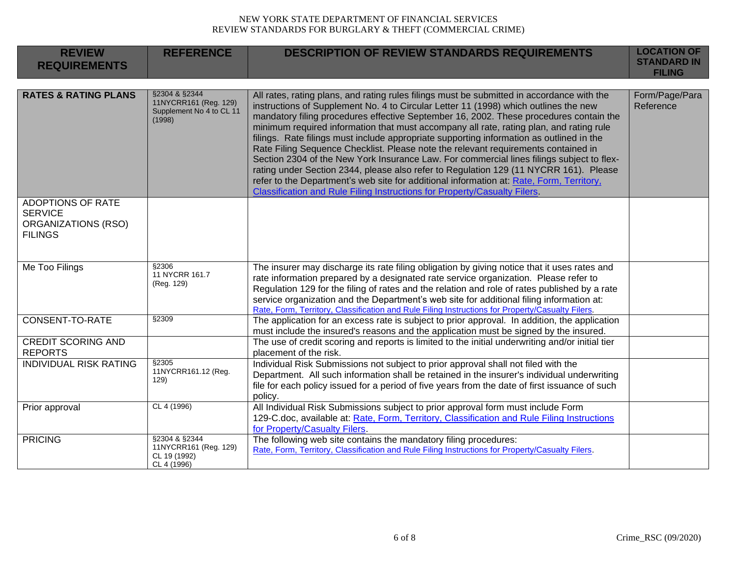| <b>REVIEW</b><br><b>REQUIREMENTS</b>                                                       | <b>REFERENCE</b>                                                             | <b>DESCRIPTION OF REVIEW STANDARDS REQUIREMENTS</b>                                                                                                                                                                                                                                                                                                                                                                                                                                                                                                                                                                                                                                                                                                                                                                                                                                                                      | <b>LOCATION OF</b><br><b>STANDARD IN</b><br><b>FILING</b> |
|--------------------------------------------------------------------------------------------|------------------------------------------------------------------------------|--------------------------------------------------------------------------------------------------------------------------------------------------------------------------------------------------------------------------------------------------------------------------------------------------------------------------------------------------------------------------------------------------------------------------------------------------------------------------------------------------------------------------------------------------------------------------------------------------------------------------------------------------------------------------------------------------------------------------------------------------------------------------------------------------------------------------------------------------------------------------------------------------------------------------|-----------------------------------------------------------|
|                                                                                            |                                                                              |                                                                                                                                                                                                                                                                                                                                                                                                                                                                                                                                                                                                                                                                                                                                                                                                                                                                                                                          |                                                           |
| <b>RATES &amp; RATING PLANS</b>                                                            | §2304 & §2344<br>11NYCRR161 (Reg. 129)<br>Supplement No 4 to CL 11<br>(1998) | All rates, rating plans, and rating rules filings must be submitted in accordance with the<br>instructions of Supplement No. 4 to Circular Letter 11 (1998) which outlines the new<br>mandatory filing procedures effective September 16, 2002. These procedures contain the<br>minimum required information that must accompany all rate, rating plan, and rating rule<br>filings. Rate filings must include appropriate supporting information as outlined in the<br>Rate Filing Sequence Checklist. Please note the relevant requirements contained in<br>Section 2304 of the New York Insurance Law. For commercial lines filings subject to flex-<br>rating under Section 2344, please also refer to Regulation 129 (11 NYCRR 161). Please<br>refer to the Department's web site for additional information at: Rate, Form, Territory,<br>Classification and Rule Filing Instructions for Property/Casualty Filers. | Form/Page/Para<br>Reference                               |
| <b>ADOPTIONS OF RATE</b><br><b>SERVICE</b><br><b>ORGANIZATIONS (RSO)</b><br><b>FILINGS</b> |                                                                              |                                                                                                                                                                                                                                                                                                                                                                                                                                                                                                                                                                                                                                                                                                                                                                                                                                                                                                                          |                                                           |
| Me Too Filings                                                                             | \$2306<br>11 NYCRR 161.7<br>(Reg. 129)                                       | The insurer may discharge its rate filing obligation by giving notice that it uses rates and<br>rate information prepared by a designated rate service organization. Please refer to<br>Regulation 129 for the filing of rates and the relation and role of rates published by a rate<br>service organization and the Department's web site for additional filing information at:<br>Rate, Form, Territory, Classification and Rule Filing Instructions for Property/Casualty Filers.                                                                                                                                                                                                                                                                                                                                                                                                                                    |                                                           |
| CONSENT-TO-RATE                                                                            | §2309                                                                        | The application for an excess rate is subject to prior approval. In addition, the application<br>must include the insured's reasons and the application must be signed by the insured.                                                                                                                                                                                                                                                                                                                                                                                                                                                                                                                                                                                                                                                                                                                                   |                                                           |
| <b>CREDIT SCORING AND</b><br><b>REPORTS</b>                                                |                                                                              | The use of credit scoring and reports is limited to the initial underwriting and/or initial tier<br>placement of the risk.                                                                                                                                                                                                                                                                                                                                                                                                                                                                                                                                                                                                                                                                                                                                                                                               |                                                           |
| <b>INDIVIDUAL RISK RATING</b>                                                              | \$2305<br>11NYCRR161.12 (Reg.<br>129)                                        | Individual Risk Submissions not subject to prior approval shall not filed with the<br>Department. All such information shall be retained in the insurer's individual underwriting<br>file for each policy issued for a period of five years from the date of first issuance of such<br>policy.                                                                                                                                                                                                                                                                                                                                                                                                                                                                                                                                                                                                                           |                                                           |
| Prior approval                                                                             | CL 4 (1996)                                                                  | All Individual Risk Submissions subject to prior approval form must include Form<br>129-C.doc, available at: Rate, Form, Territory, Classification and Rule Filing Instructions<br>for Property/Casualty Filers.                                                                                                                                                                                                                                                                                                                                                                                                                                                                                                                                                                                                                                                                                                         |                                                           |
| <b>PRICING</b>                                                                             | §2304 & §2344<br>11NYCRR161 (Reg. 129)<br>CL 19 (1992)<br>CL 4 (1996)        | The following web site contains the mandatory filing procedures:<br>Rate, Form, Territory, Classification and Rule Filing Instructions for Property/Casualty Filers.                                                                                                                                                                                                                                                                                                                                                                                                                                                                                                                                                                                                                                                                                                                                                     |                                                           |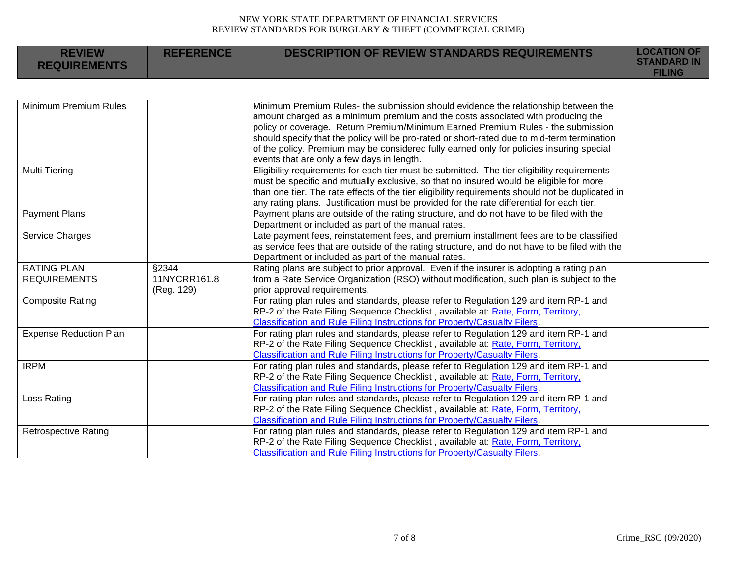| <b>REVIEW</b><br><b>REQUIREMENTS</b>      | <b>REFERENCE</b>                    | <b>DESCRIPTION OF REVIEW STANDARDS REQUIREMENTS</b>                                                                                                                                                                                                                                                                                                                                                                                                                                                | <b>LOCATION OF</b><br><b>STANDARD IN</b><br><b>FILING</b> |
|-------------------------------------------|-------------------------------------|----------------------------------------------------------------------------------------------------------------------------------------------------------------------------------------------------------------------------------------------------------------------------------------------------------------------------------------------------------------------------------------------------------------------------------------------------------------------------------------------------|-----------------------------------------------------------|
|                                           |                                     |                                                                                                                                                                                                                                                                                                                                                                                                                                                                                                    |                                                           |
| Minimum Premium Rules                     |                                     | Minimum Premium Rules- the submission should evidence the relationship between the<br>amount charged as a minimum premium and the costs associated with producing the<br>policy or coverage. Return Premium/Minimum Earned Premium Rules - the submission<br>should specify that the policy will be pro-rated or short-rated due to mid-term termination<br>of the policy. Premium may be considered fully earned only for policies insuring special<br>events that are only a few days in length. |                                                           |
| <b>Multi Tiering</b>                      |                                     | Eligibility requirements for each tier must be submitted. The tier eligibility requirements<br>must be specific and mutually exclusive, so that no insured would be eligible for more<br>than one tier. The rate effects of the tier eligibility requirements should not be duplicated in<br>any rating plans. Justification must be provided for the rate differential for each tier.                                                                                                             |                                                           |
| <b>Payment Plans</b>                      |                                     | Payment plans are outside of the rating structure, and do not have to be filed with the<br>Department or included as part of the manual rates.                                                                                                                                                                                                                                                                                                                                                     |                                                           |
| Service Charges                           |                                     | Late payment fees, reinstatement fees, and premium installment fees are to be classified<br>as service fees that are outside of the rating structure, and do not have to be filed with the<br>Department or included as part of the manual rates.                                                                                                                                                                                                                                                  |                                                           |
| <b>RATING PLAN</b><br><b>REQUIREMENTS</b> | §2344<br>11NYCRR161.8<br>(Reg. 129) | Rating plans are subject to prior approval. Even if the insurer is adopting a rating plan<br>from a Rate Service Organization (RSO) without modification, such plan is subject to the<br>prior approval requirements.                                                                                                                                                                                                                                                                              |                                                           |
| <b>Composite Rating</b>                   |                                     | For rating plan rules and standards, please refer to Regulation 129 and item RP-1 and<br>RP-2 of the Rate Filing Sequence Checklist, available at: Rate, Form, Territory,<br>Classification and Rule Filing Instructions for Property/Casualty Filers.                                                                                                                                                                                                                                             |                                                           |
| <b>Expense Reduction Plan</b>             |                                     | For rating plan rules and standards, please refer to Regulation 129 and item RP-1 and<br>RP-2 of the Rate Filing Sequence Checklist, available at: Rate, Form, Territory,<br>Classification and Rule Filing Instructions for Property/Casualty Filers.                                                                                                                                                                                                                                             |                                                           |
| <b>IRPM</b>                               |                                     | For rating plan rules and standards, please refer to Regulation 129 and item RP-1 and<br>RP-2 of the Rate Filing Sequence Checklist, available at: Rate, Form, Territory,<br>Classification and Rule Filing Instructions for Property/Casualty Filers.                                                                                                                                                                                                                                             |                                                           |
| Loss Rating                               |                                     | For rating plan rules and standards, please refer to Regulation 129 and item RP-1 and<br>RP-2 of the Rate Filing Sequence Checklist, available at: Rate, Form, Territory,<br>Classification and Rule Filing Instructions for Property/Casualty Filers.                                                                                                                                                                                                                                             |                                                           |
| <b>Retrospective Rating</b>               |                                     | For rating plan rules and standards, please refer to Regulation 129 and item RP-1 and<br>RP-2 of the Rate Filing Sequence Checklist, available at: Rate, Form, Territory,<br>Classification and Rule Filing Instructions for Property/Casualty Filers.                                                                                                                                                                                                                                             |                                                           |